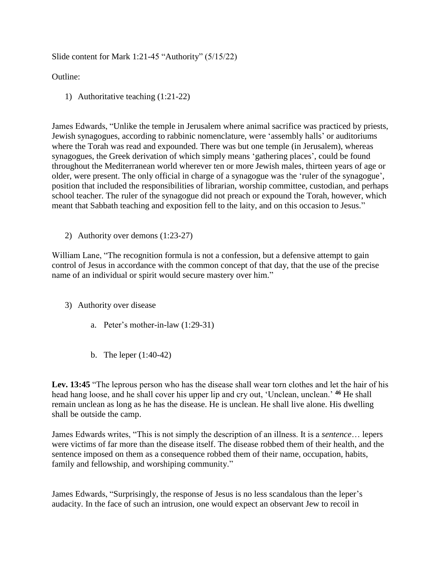Slide content for Mark 1:21-45 "Authority" (5/15/22)

Outline:

1) Authoritative teaching (1:21-22)

James Edwards, "Unlike the temple in Jerusalem where animal sacrifice was practiced by priests, Jewish synagogues, according to rabbinic nomenclature, were 'assembly halls' or auditoriums where the Torah was read and expounded. There was but one temple (in Jerusalem), whereas synagogues, the Greek derivation of which simply means 'gathering places', could be found throughout the Mediterranean world wherever ten or more Jewish males, thirteen years of age or older, were present. The only official in charge of a synagogue was the 'ruler of the synagogue', position that included the responsibilities of librarian, worship committee, custodian, and perhaps school teacher. The ruler of the synagogue did not preach or expound the Torah, however, which meant that Sabbath teaching and exposition fell to the laity, and on this occasion to Jesus."

2) Authority over demons (1:23-27)

William Lane, "The recognition formula is not a confession, but a defensive attempt to gain control of Jesus in accordance with the common concept of that day, that the use of the precise name of an individual or spirit would secure mastery over him."

- 3) Authority over disease
	- a. Peter's mother-in-law (1:29-31)
	- b. The leper (1:40-42)

Lev. 13:45 "The leprous person who has the disease shall wear torn clothes and let the hair of his head hang loose, and he shall cover his upper lip and cry out, 'Unclean, unclean.' **<sup>46</sup>** He shall remain unclean as long as he has the disease. He is unclean. He shall live alone. His dwelling shall be outside the camp.

James Edwards writes, "This is not simply the description of an illness. It is a *sentence*… lepers were victims of far more than the disease itself. The disease robbed them of their health, and the sentence imposed on them as a consequence robbed them of their name, occupation, habits, family and fellowship, and worshiping community."

James Edwards, "Surprisingly, the response of Jesus is no less scandalous than the leper's audacity. In the face of such an intrusion, one would expect an observant Jew to recoil in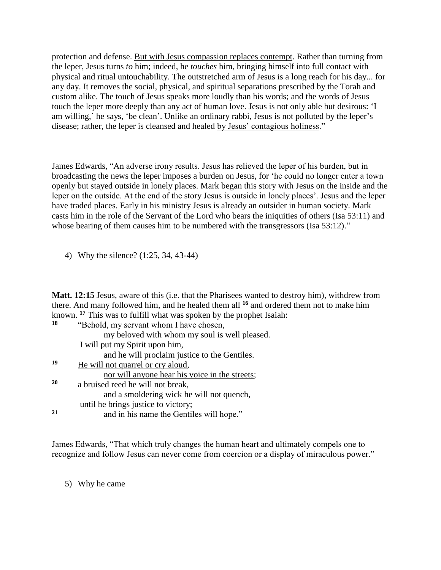protection and defense. But with Jesus compassion replaces contempt. Rather than turning from the leper, Jesus turns *to* him; indeed, he *touches* him, bringing himself into full contact with physical and ritual untouchability. The outstretched arm of Jesus is a long reach for his day... for any day. It removes the social, physical, and spiritual separations prescribed by the Torah and custom alike. The touch of Jesus speaks more loudly than his words; and the words of Jesus touch the leper more deeply than any act of human love. Jesus is not only able but desirous: 'I am willing,' he says, 'be clean'. Unlike an ordinary rabbi, Jesus is not polluted by the leper's disease; rather, the leper is cleansed and healed by Jesus' contagious holiness."

James Edwards, "An adverse irony results. Jesus has relieved the leper of his burden, but in broadcasting the news the leper imposes a burden on Jesus, for 'he could no longer enter a town openly but stayed outside in lonely places. Mark began this story with Jesus on the inside and the leper on the outside. At the end of the story Jesus is outside in lonely places'. Jesus and the leper have traded places. Early in his ministry Jesus is already an outsider in human society. Mark casts him in the role of the Servant of the Lord who bears the iniquities of others (Isa 53:11) and whose bearing of them causes him to be numbered with the transgressors (Isa 53:12)."

4) Why the silence? (1:25, 34, 43-44)

**Matt. 12:15** Jesus, aware of this (i.e. that the Pharisees wanted to destroy him), withdrew from there. And many followed him, and he healed them all **<sup>16</sup>** and ordered them not to make him known. **<sup>17</sup>** This was to fulfill what was spoken by the prophet Isaiah:

| 18 | "Behold, my servant whom I have chosen,        |
|----|------------------------------------------------|
|    | my beloved with whom my soul is well pleased.  |
|    | I will put my Spirit upon him,                 |
|    | and he will proclaim justice to the Gentiles.  |
| 19 | He will not quarrel or cry aloud,              |
|    | nor will anyone hear his voice in the streets; |
| 20 | a bruised reed he will not break,              |
|    | and a smoldering wick he will not quench,      |
|    | until he brings justice to victory;            |
| 21 | and in his name the Gentiles will hope."       |

James Edwards, "That which truly changes the human heart and ultimately compels one to recognize and follow Jesus can never come from coercion or a display of miraculous power."

5) Why he came